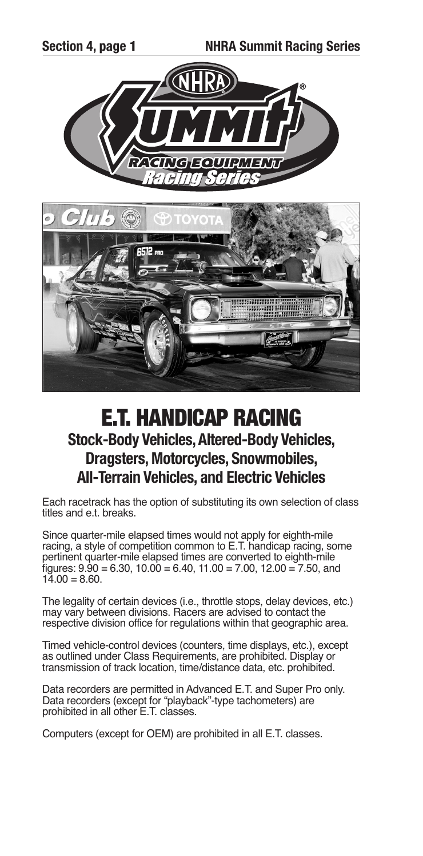



# **E.T. HANDICAP RACING Stock-Body Vehicles,Altered-Body Vehicles, Dragsters, Motorcycles, Snowmobiles, All-Terrain Vehicles, and Electric Vehicles**

Each racetrack has the option of substituting its own selection of class titles and e.t. breaks.

Since quarter-mile elapsed times would not apply for eighth-mile racing, a style of competition common to E.T. handicap racing, some pertinent quarter-mile elapsed times are converted to eighth-mile figures:  $9.90 = 6.30$ ,  $10.00 = 6.40$ ,  $11.00 = 7.00$ ,  $12.00 = 7.50$ , and  $14.00 = 8.60$ .

The legality of certain devices (i.e., throttle stops, delay devices, etc.) may vary between divisions. Racers are advised to contact the respective division office for regulations within that geographic area.

Timed vehicle-control devices (counters, time displays, etc.), except as outlined under Class Requirements, are prohibited. Display or transmission of track location, time/distance data, etc. prohibited.

Data recorders are permitted in Advanced E.T. and Super Pro only. Data recorders (except for "playback"-type tachometers) are prohibited in all other E.T. classes.

Computers (except for OEM) are prohibited in all E.T. classes.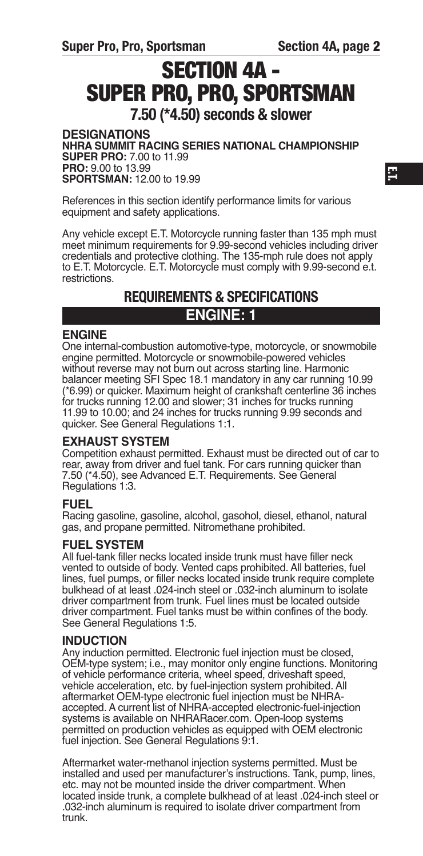# **SECTION 4A - SUPER PRO, PRO, SPORTSMAN 7.50 (\*4.50) seconds & slower**

**DESIGNATIONS NHRA SummIT RAcING SERIES NATIONAl cHAmpIONSHIp SupER pRO:** 7.00 to 11.99 **pRO:** 9.00 to 13.99 **SpORTSmAN:** 12.00 to 19.99

References in this section identify performance limits for various equipment and safety applications.

Any vehicle except E.T. Motorcycle running faster than 135 mph must meet minimum requirements for 9.99-second vehicles including driver credentials and protective clothing. The 135-mph rule does not apply to E.T. Motorcycle. E.T. Motorcycle must comply with 9.99-second e.t. restrictions.

## **REQUIREMENTS & SPECIFICATIONS ENGINE: 1**

## **ENGINE**

One internal-combustion automotive-type, motorcycle, or snowmobile engine permitted. Motorcycle or snowmobile-powered vehicles without reverse may not burn out across starting line. Harmonic balancer meeting SFI Spec 18.1 mandatory in any car running 10.99 (\*6.99) or quicker. Maximum height of crankshaft centerline 36 inches for trucks running 12.00 and slower; 31 inches for trucks running 11.99 to 10.00; and 24 inches for trucks running 9.99 seconds and quicker. See General Regulations 1:1.

## **EXHAuST SYSTEm**

Competition exhaust permitted. Exhaust must be directed out of car to rear, away from driver and fuel tank. For cars running quicker than 7.50 (\*4.50), see Advanced E.T. Requirements. See General Regulations 1:3.

## **FuEl**

Racing gasoline, gasoline, alcohol, gasohol, diesel, ethanol, natural gas, and propane permitted. Nitromethane prohibited.

## **FuEl SYSTEm**

All fuel-tank filler necks located inside trunk must have filler neck vented to outside of body. Vented caps prohibited. All batteries, fuel lines, fuel pumps, or filler necks located inside trunk require complete bulkhead of at least .024-inch steel or .032-inch aluminum to isolate driver compartment from trunk. Fuel lines must be located outside driver compartment. Fuel tanks must be within confines of the body. See General Regulations 1:5.

#### **INDucTION**

Any induction permitted. Electronic fuel injection must be closed, OEM-type system; i.e., may monitor only engine functions. Monitoring of vehicle performance criteria, wheel speed, driveshaft speed, vehicle acceleration, etc. by fuel-injection system prohibited. All aftermarket OEM-type electronic fuel injection must be NHRAaccepted. A current list of NHRA-accepted electronic-fuel-injection systems is available on NHRARacer.com. Open-loop systems permitted on production vehicles as equipped with OEM electronic fuel injection. See General Regulations 9:1.

Aftermarket water-methanol injection systems permitted. Must be installed and used per manufacturer's instructions. Tank, pump, lines, etc. may not be mounted inside the driver compartment. When located inside trunk, a complete bulkhead of at least .024-inch steel or .032-inch aluminum is required to isolate driver compartment from trunk.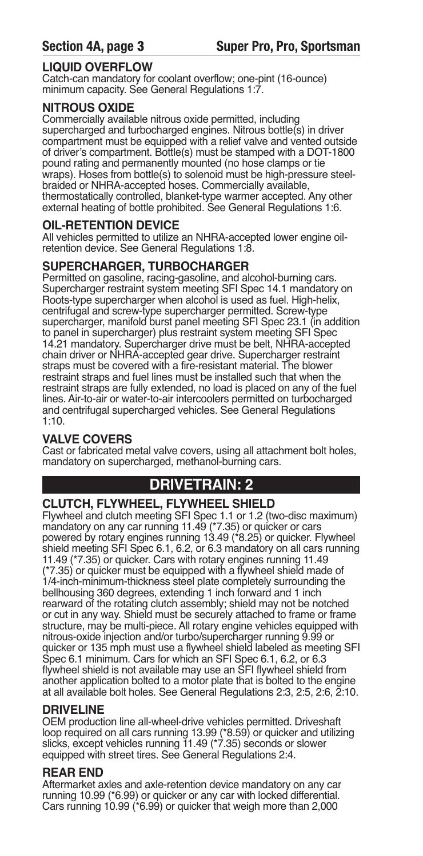## **lIQuID OVERFlOW**

Catch-can mandatory for coolant overflow; one-pint (16-ounce) minimum capacity. See General Regulations 1:7.

## **NITROuS OXIDE**

Commercially available nitrous oxide permitted, including supercharged and turbocharged engines. Nitrous bottle(s) in driver compartment must be equipped with a relief valve and vented outside of driver's compartment. Bottle(s) must be stamped with a DOT-1800 pound rating and permanently mounted (no hose clamps or tie wraps). Hoses from bottle(s) to solenoid must be high-pressure steelbraided or NHRA-accepted hoses. Commercially available, thermostatically controlled, blanket-type warmer accepted. Any other external heating of bottle prohibited. See General Regulations 1:6.

## **OIl-RETENTION DEVIcE**

All vehicles permitted to utilize an NHRA-accepted lower engine oilretention device. See General Regulations 1:8.

## **SupERcHARGER, TuRBOcHARGER**

Permitted on gasoline, racing-gasoline, and alcohol-burning cars. Supercharger restraint system meeting SFI Spec 14.1 mandatory on Roots-type supercharger when alcohol is used as fuel. High-helix, centrifugal and screw-type supercharger permitted. Screw-type supercharger, manifold burst panel meeting SFI Spec 23.1 (in addition to panel in supercharger) plus restraint system meeting SFI Spec 14.21 mandatory. Supercharger drive must be belt, NHRA-accepted chain driver or NHRA-accepted gear drive. Supercharger restraint straps must be covered with a fire-resistant material. The blower restraint straps and fuel lines must be installed such that when the restraint straps are fully extended, no load is placed on any of the fuel lines. Air-to-air or water-to-air intercoolers permitted on turbocharged and centrifugal supercharged vehicles. See General Regulations 1:10.

## **VAlVE cOVERS**

Cast or fabricated metal valve covers, using all attachment bolt holes, mandatory on supercharged, methanol-burning cars.

## **DRIVETRAIN: 2**

## **cluTcH, FlYWHEEl, FlYWHEEl SHIElD**

Flywheel and clutch meeting SFI Spec 1.1 or 1.2 (two-disc maximum) mandatory on any car running 11.49 (\*7.35) or quicker or cars powered by rotary engines running 13.49 (\*8.25) or quicker. Flywheel shield meeting SFI Spec 6.1, 6.2, or 6.3 mandatory on all cars running 11.49 (\*7.35) or quicker. Cars with rotary engines running 11.49<br>(\*7.35) or quicker must be equipped with a flywheel shield made of (\*7.35) or quicker must be equipped with a flywheel shield made of 1/4-inch-minimum-thickness steel plate completely surrounding the bellhousing 360 degrees, extending 1 inch forward and 1 inch rearward of the rotating clutch assembly; shield may not be notched or cut in any way. Shield must be securely attached to frame or frame structure, may be multi-piece. All rotary engine vehicles equipped with nitrous-oxide injection and/or turbo/supercharger running 9.99 or quicker or 135 mph must use a flywheel shield labeled as meeting SFI Spec 6.1 minimum. Cars for which an SFI Spec 6.1, 6.2, or 6.3 flywheel shield is not available may use an SFI flywheel shield from another application bolted to a motor plate that is bolted to the engine at all available bolt holes. See General Regulations 2:3, 2:5, 2:6, 2:10.

## **DRIVElINE**

OEM production line all-wheel-drive vehicles permitted. Driveshaft loop required on all cars running 13.99 (\*8.59) or quicker and utilizing slicks, except vehicles running 11.49 (\*7.35) seconds or slower equipped with street tires. See General Regulations 2:4.

## **REAR END**

Aftermarket axles and axle-retention device mandatory on any car running 10.99 (\*6.99) or quicker or any car with locked differential. Cars running 10.99 (\*6.99) or quicker that weigh more than 2,000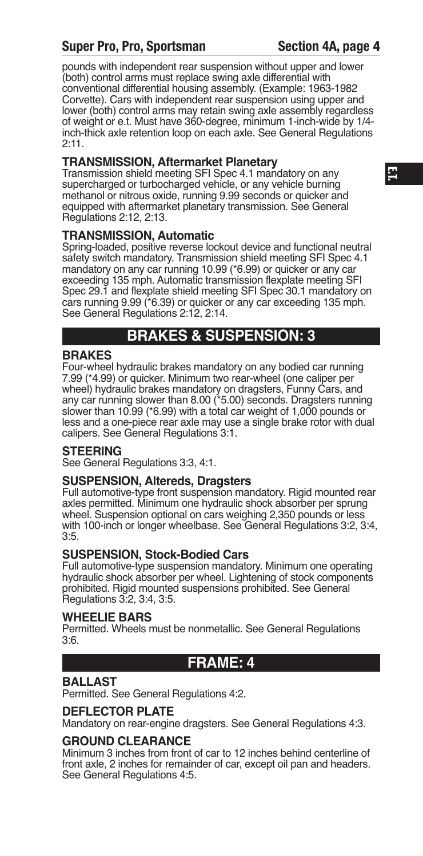## **Super Pro, Pro, Sportsman Section 4A, page 4**

pounds with independent rear suspension without upper and lower (both) control arms must replace swing axle differential with conventional differential housing assembly. (Example: 1963-1982 Corvette). Cars with independent rear suspension using upper and lower (both) control arms may retain swing axle assembly regardless of weight or e.t. Must have 360-degree, minimum 1-inch-wide by 1/4 inch-thick axle retention loop on each axle. See General Regulations 2:11.

## **TRANSmISSION, Aftermarket planetary**

Transmission shield meeting SFI Spec 4.1 mandatory on any supercharged or turbocharged vehicle, or any vehicle burning methanol or nitrous oxide, running 9.99 seconds or quicker and equipped with aftermarket planetary transmission. See General Regulations 2:12, 2:13.

## **TRANSmISSION, Automatic**

Spring-loaded, positive reverse lockout device and functional neutral safety switch mandatory. Transmission shield meeting SFI Spec 4.1 mandatory on any car running 10.99 (\*6.99) or quicker or any car exceeding 135 mph. Automatic transmission flexplate meeting SFI Spec 29.1 and flexplate shield meeting SFI Spec 30.1 mandatory on cars running 9.99 (\*6.39) or quicker or any car exceeding 135 mph. See General Regulations 2:12, 2:14.

## **BRAKES & SuSpENSION: 3**

## **BRAKES**

Four-wheel hydraulic brakes mandatory on any bodied car running 7.99 (\*4.99) or quicker. Minimum two rear-wheel (one caliper per wheel) hydraulic brakes mandatory on dragsters, Funny Cars, and any car running slower than 8.00 (\*5.00) seconds. Dragsters running slower than 10.99 (\*6.99) with a total car weight of 1,000 pounds or less and a one-piece rear axle may use a single brake rotor with dual calipers. See General Regulations 3:1.

## **STEERING**

See General Regulations 3:3, 4:1.

## **SuSpENSION, Altereds, Dragsters**

Full automotive-type front suspension mandatory. Rigid mounted rear axles permitted. Minimum one hydraulic shock absorber per sprung wheel. Suspension optional on cars weighing 2,350 pounds or less with 100-inch or longer wheelbase. See General Regulations 3:2, 3:4, 3:5.

## **SuSpENSION, Stock-Bodied cars**

Full automotive-type suspension mandatory. Minimum one operating hydraulic shock absorber per wheel. Lightening of stock components prohibited. Rigid mounted suspensions prohibited. See General Regulations 3:2, 3:4, 3:5.

## **WHEElIE BARS**

Permitted. Wheels must be nonmetallic. See General Regulations 3:6.

## **FRAmE: 4**

## **BAllAST**

Permitted. See General Regulations 4:2.

#### **DEFlEcTOR plATE**

Mandatory on rear-engine dragsters. See General Regulations 4:3.

## **GROuND clEARANcE**

Minimum 3 inches from front of car to 12 inches behind centerline of front axle, 2 inches for remainder of car, except oil pan and headers. See General Regulations 4:5.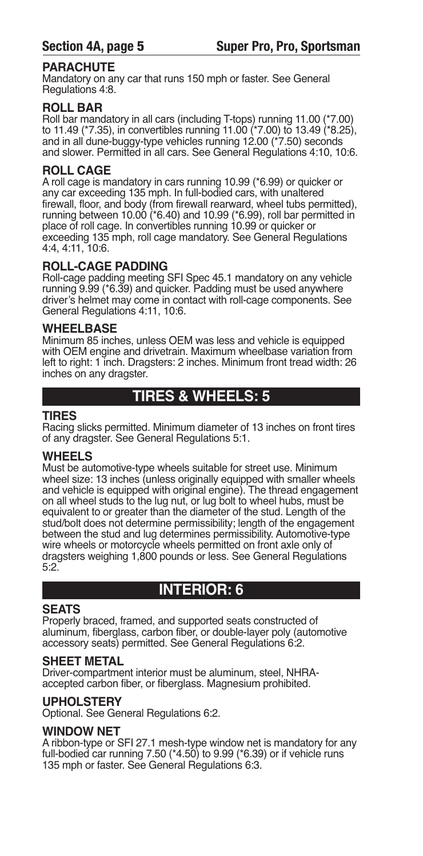## **pARAcHuTE**

Mandatory on any car that runs 150 mph or faster. See General Regulations 4:8.

## **ROll BAR**

Roll bar mandatory in all cars (including T-tops) running 11.00 (\*7.00) to 11.49 (\*7.35), in convertibles running 11.00 (\*7.00) to 13.49 (\*8.25), and in all dune-buggy-type vehicles running 12.00 (\*7.50) seconds and slower. Permitted in all cars. See General Regulations 4:10, 10:6.

## **ROll cAGE**

A roll cage is mandatory in cars running 10.99 (\*6.99) or quicker or any car exceeding 135 mph. In full-bodied cars, with unaltered firewall, floor, and body (from firewall rearward, wheel tubs permitted), running between 10.00 (\*6.40) and 10.99 (\*6.99), roll bar permitted in place of roll cage. In convertibles running 10.99 or quicker or exceeding 135 mph, roll cage mandatory. See General Regulations 4:4, 4:11, 10:6.

## **ROll-cAGE pADDING**

Roll-cage padding meeting SFI Spec 45.1 mandatory on any vehicle running 9.99 (\*6.39) and quicker. Padding must be used anywhere driver's helmet may come in contact with roll-cage components. See General Regulations 4:11, 10:6.

## **WHEElBASE**

Minimum 85 inches, unless OEM was less and vehicle is equipped with OEM engine and drivetrain. Maximum wheelbase variation from left to right: 1 inch. Dragsters: 2 inches. Minimum front tread width: 26 inches on any dragster.

## **TIRES & WHEElS: 5**

## **TIRES**

Racing slicks permitted. Minimum diameter of 13 inches on front tires of any dragster. See General Regulations 5:1.

## **WHEElS**

Must be automotive-type wheels suitable for street use. Minimum wheel size: 13 inches (unless originally equipped with smaller wheels and vehicle is equipped with original engine). The thread engagement on all wheel studs to the lug nut, or lug bolt to wheel hubs, must be equivalent to or greater than the diameter of the stud. Length of the stud/bolt does not determine permissibility; length of the engagement between the stud and lug determines permissibility. Automotive-type wire wheels or motorcycle wheels permitted on front axle only of dragsters weighing 1,800 pounds or less. See General Regulations 5:2.

## **INTERIOR: 6**

## **SEATS**

Properly braced, framed, and supported seats constructed of aluminum, fiberglass, carbon fiber, or double-layer poly (automotive accessory seats) permitted. See General Regulations 6:2.

## **SHEET mETAl**

Driver-compartment interior must be aluminum, steel, NHRAaccepted carbon fiber, or fiberglass. Magnesium prohibited.

## **upHOlSTERY**

Optional. See General Regulations 6:2.

## **WINDOW NET**

A ribbon-type or SFI 27.1 mesh-type window net is mandatory for any full-bodied car running 7.50 ( $*4.50$ ) to 9.99 ( $*6.39$ ) or if vehicle runs 135 mph or faster. See General Regulations 6:3.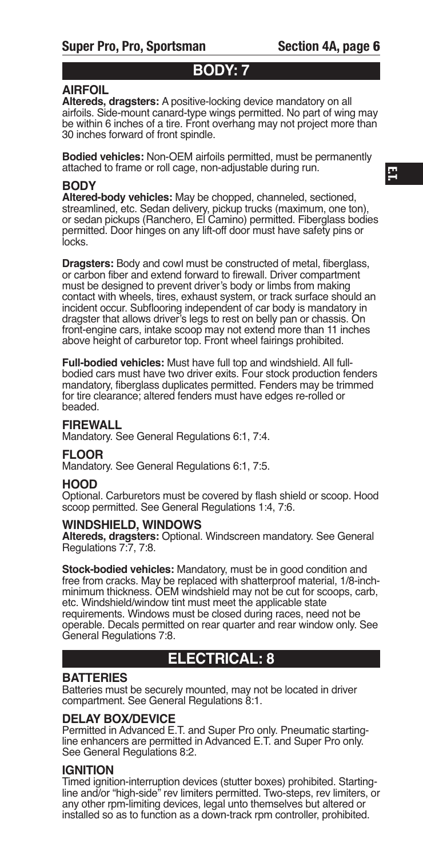## **BODY: 7**

## **AIRFOIl**

**Altereds, dragsters:** A positive-locking device mandatory on all airfoils. Side-mount canard-type wings permitted. No part of wing may be within 6 inches of a tire. Front overhang may not project more than 30 inches forward of front spindle.

**Bodied vehicles:** Non-OEM airfoils permitted, must be permanently attached to frame or roll cage, non-adjustable during run.

#### **BODY**

**Altered-body vehicles:** May be chopped, channeled, sectioned, streamlined, etc. Sedan delivery, pickup trucks (maximum, one ton), or sedan pickups (Ranchero, El Camino) permitted. Fiberglass bodies permitted. Door hinges on any lift-off door must have safety pins or locks.

**Dragsters:** Body and cowl must be constructed of metal, fiberglass, or carbon fiber and extend forward to firewall. Driver compartment must be designed to prevent driver's body or limbs from making contact with wheels, tires, exhaust system, or track surface should an incident occur. Subflooring independent of car body is mandatory in dragster that allows driver's legs to rest on belly pan or chassis. On front-engine cars, intake scoop may not extend more than 11 inches above height of carburetor top. Front wheel fairings prohibited.

**Full-bodied vehicles:** Must have full top and windshield. All fullbodied cars must have two driver exits. Four stock production fenders mandatory, fiberglass duplicates permitted. Fenders may be trimmed for tire clearance; altered fenders must have edges re-rolled or beaded.

#### **FIREWAll**

Mandatory. See General Regulations 6:1, 7:4.

#### **FlOOR**

Mandatory. See General Regulations 6:1, 7:5.

#### **HOOD**

Optional. Carburetors must be covered by flash shield or scoop. Hood scoop permitted. See General Regulations 1:4, 7:6.

#### **WINDSHIElD, WINDOWS**

**Altereds, dragsters:** Optional. Windscreen mandatory. See General Regulations 7:7, 7:8.

**Stock-bodied vehicles:** Mandatory, must be in good condition and free from cracks. May be replaced with shatterproof material, 1/8-inchminimum thickness. OEM windshield may not be cut for scoops, carb, etc. Windshield/window tint must meet the applicable state requirements. Windows must be closed during races, need not be operable. Decals permitted on rear quarter and rear window only. See General Regulations 7:8.

## **ElEcTRIcAl: 8**

#### **BATTERIES**

Batteries must be securely mounted, may not be located in driver compartment. See General Regulations 8:1.

#### **DElAY BOX/DEVIcE**

Permitted in Advanced E.T. and Super Pro only. Pneumatic startingline enhancers are permitted in Advanced E.T. and Super Pro only. See General Regulations 8:2.

## **IGNITION**

Timed ignition-interruption devices (stutter boxes) prohibited. Startingline and/or "high-side" rev limiters permitted. Two-steps, rev limiters, or any other rpm-limiting devices, legal unto themselves but altered or installed so as to function as a down-track rpm controller, prohibited.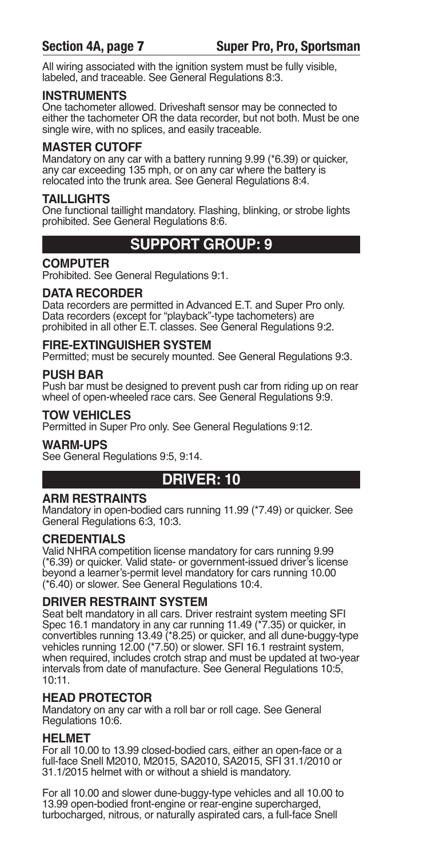All wiring associated with the ignition system must be fully visible, labeled, and traceable. See General Regulations 8:3.

## **INSTRumENTS**

One tachometer allowed. Driveshaft sensor may be connected to either the tachometer OR the data recorder, but not both. Must be one single wire, with no splices, and easily traceable.

## **mASTER cuTOFF**

Mandatory on any car with a battery running 9.99 (\*6.39) or quicker, any car exceeding 135 mph, or on any car where the battery is relocated into the trunk area. See General Regulations 8:4.

## **TAIllIGHTS**

One functional taillight mandatory. Flashing, blinking, or strobe lights prohibited. See General Regulations 8:6.

## **SuppORT GROup: 9**

## **cOmpuTER**

Prohibited. See General Regulations 9:1.

## **DATA REcORDER**

Data recorders are permitted in Advanced E.T. and Super Pro only. Data recorders (except for "playback"-type tachometers) are prohibited in all other E.T. classes. See General Regulations 9:2.

## **FIRE-EXTINGuISHER SYSTEm**

Permitted; must be securely mounted. See General Regulations 9:3.

## **puSH BAR**

Push bar must be designed to prevent push car from riding up on rear wheel of open-wheeled race cars. See General Regulations 9:9.

## **TOW VEHIclES**

Permitted in Super Pro only. See General Regulations 9:12.

#### **WARm-upS**

See General Regulations 9:5, 9:14.

## **DRIVER: 10**

## **ARm RESTRAINTS**

Mandatory in open-bodied cars running 11.99 (\*7.49) or quicker. See General Regulations 6:3, 10:3.

## **cREDENTIAlS**

Valid NHRA competition license mandatory for cars running 9.99 (\*6.39) or quicker. Valid state- or government-issued driver's license beyond a learner's-permit level mandatory for cars running 10.00 (\*6.40) or slower. See General Regulations 10:4.

## **DRIVER RESTRAINT SYSTEm**

Seat belt mandatory in all cars. Driver restraint system meeting SFI Spec 16.1 mandatory in any car running 11.49 (\*7.35) or quicker, in convertibles running 13.49 (\*8.25) or quicker, and all dune-buggy-type vehicles running 12.00 (\*7.50) or slower. SFI 16.1 restraint system, when required, includes crotch strap and must be updated at two-year intervals from date of manufacture. See General Regulations 10:5, 10:11.

## **HEAD pROTEcTOR**

Mandatory on any car with a roll bar or roll cage. See General Regulations 10:6.

## **HElmET**

For all 10.00 to 13.99 closed-bodied cars, either an open-face or a full-face Snell M2010, M2015, SA2010, SA2015, SFI 31.1/2010 or 31.1/2015 helmet with or without a shield is mandatory.

For all 10.00 and slower dune-buggy-type vehicles and all 10.00 to 13.99 open-bodied front-engine or rear-engine supercharged, turbocharged, nitrous, or naturally aspirated cars, a full-face Snell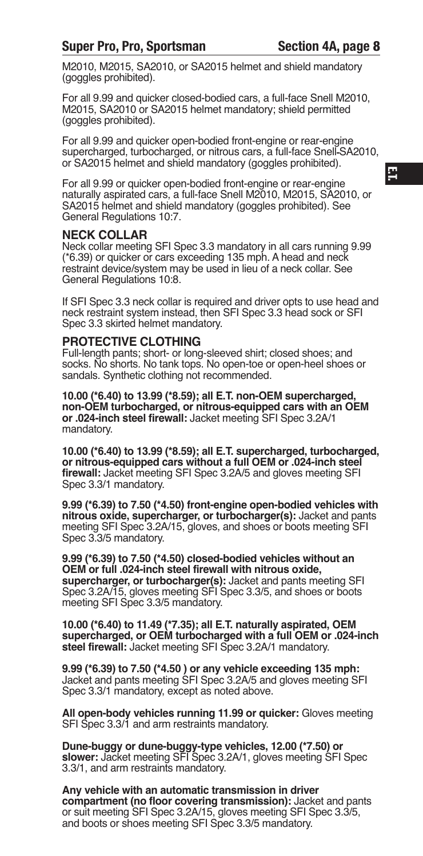M2010, M2015, SA2010, or SA2015 helmet and shield mandatory (goggles prohibited).

For all 9.99 and quicker closed-bodied cars, a full-face Snell M2010, M2015, SA2010 or SA2015 helmet mandatory; shield permitted (goggles prohibited).

For all 9.99 and quicker open-bodied front-engine or rear-engine supercharged, turbocharged, or nitrous cars, a full-face Snell-SA2010, or SA2015 helmet and shield mandatory (goggles prohibited).

For all 9.99 or quicker open-bodied front-engine or rear-engine naturally aspirated cars, a full-face Snell M2010, M2015, SA2010, or SA2015 helmet and shield mandatory (goggles prohibited). See General Regulations 10:7.

#### **NEcK cOllAR**

Neck collar meeting SFI Spec 3.3 mandatory in all cars running 9.99 (\*6.39) or quicker or cars exceeding 135 mph. A head and neck restraint device/system may be used in lieu of a neck collar. See General Regulations 10:8.

If SFI Spec 3.3 neck collar is required and driver opts to use head and neck restraint system instead, then SFI Spec 3.3 head sock or SFI Spec 3.3 skirted helmet mandatory.

#### **pROTEcTIVE clOTHING**

Full-length pants; short- or long-sleeved shirt; closed shoes; and socks. No shorts. No tank tops. No open-toe or open-heel shoes or sandals. Synthetic clothing not recommended.

**10.00 (\*6.40) to 13.99 (\*8.59); all E.T. non-OEm supercharged, non-OEm turbocharged, or nitrous-equipped cars with an OEm or .024-inch steel firewall:** Jacket meeting SFI Spec 3.2A/1 mandatory.

**10.00 (\*6.40) to 13.99 (\*8.59); all E.T. supercharged, turbocharged, or nitrous-equipped cars without a full OEm or .024-inch steel firewall:** Jacket meeting SFI Spec 3.2A/5 and gloves meeting SFI Spec 3.3/1 mandatory.

**9.99 (\*6.39) to 7.50 (\*4.50) front-engine open-bodied vehicles with nitrous oxide, supercharger, or turbocharger(s):** Jacket and pants meeting SFI Spec 3.2A/15, gloves, and shoes or boots meeting SFI Spec 3.3/5 mandatory.

**9.99 (\*6.39) to 7.50 (\*4.50) closed-bodied vehicles without an OEm or full .024-inch steel firewall with nitrous oxide, supercharger, or turbocharger(s):** Jacket and pants meeting SFI Spec 3.2A/15, gloves meeting SFI Spec 3.3/5, and shoes or boots meeting SFI Spec 3.3/5 mandatory.

**10.00 (\*6.40) to 11.49 (\*7.35); all E.T. naturally aspirated, OEm supercharged, or OEm turbocharged with a full OEm or .024-inch steel firewall:** Jacket meeting SFI Spec 3.2A/1 mandatory.

**9.99 (\*6.39) to 7.50 (\*4.50 ) or any vehicle exceeding 135 mph:** Jacket and pants meeting SFI Spec 3.2A/5 and gloves meeting SFI Spec 3.3/1 mandatory, except as noted above.

**All open-body vehicles running 11.99 or quicker:** Gloves meeting SFI Spec 3.3/1 and arm restraints mandatory.

**Dune-buggy or dune-buggy-type vehicles, 12.00 (\*7.50) or slower:** Jacket meeting SFI Spec 3.2A/1, gloves meeting SFI Spec 3.3/1, and arm restraints mandatory.

**Any vehicle with an automatic transmission in driver compartment (no floor covering transmission):** Jacket and pants or suit meeting SFI Spec 3.2A/15, gloves meeting SFI Spec 3.3/5, and boots or shoes meeting SFI Spec 3.3/5 mandatory.

**E.T.**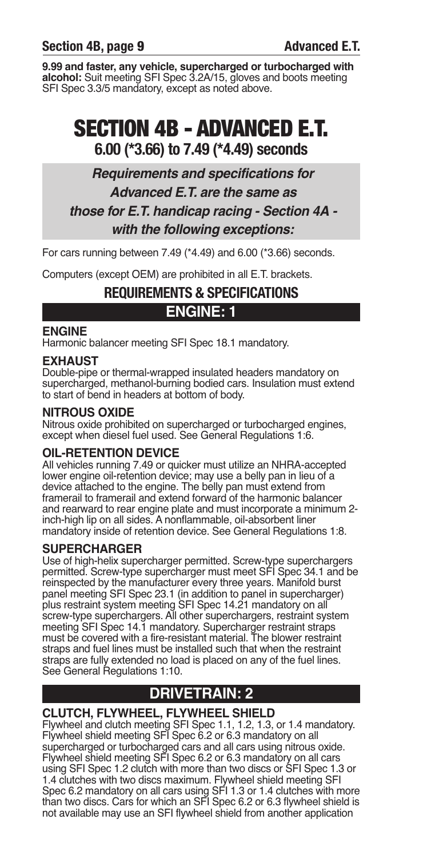**9.99 and faster, any vehicle, supercharged or turbocharged with alcohol:** Suit meeting SFI Spec 3.2A/15, gloves and boots meeting SFI Spec 3.3/5 mandatory, except as noted above.

# **SECTION 4B - ADVANCED E.T. 6.00 (\*3.66) to 7.49 (\*4.49) seconds**

## *Requirements and specifications for Advanced E.T. are the same as those for E.T. handicap racing - Section 4A with the following exceptions:*

For cars running between 7.49 (\*4.49) and 6.00 (\*3.66) seconds.

Computers (except OEM) are prohibited in all E.T. brackets.

## **REQUIREMENTS & SPECIFICATIONS ENGINE: 1**

## **ENGINE**

Harmonic balancer meeting SFI Spec 18.1 mandatory.

## **EXHAuST**

Double-pipe or thermal-wrapped insulated headers mandatory on supercharged, methanol-burning bodied cars. Insulation must extend to start of bend in headers at bottom of body.

## **NITROuS OXIDE**

Nitrous oxide prohibited on supercharged or turbocharged engines, except when diesel fuel used. See General Regulations 1:6.

## **OIl-RETENTION DEVIcE**

All vehicles running 7.49 or quicker must utilize an NHRA-accepted lower engine oil-retention device; may use a belly pan in lieu of a device attached to the engine. The belly pan must extend from framerail to framerail and extend forward of the harmonic balancer and rearward to rear engine plate and must incorporate a minimum 2 inch-high lip on all sides. A nonflammable, oil-absorbent liner mandatory inside of retention device. See General Regulations 1:8.

## **SupERcHARGER**

Use of high-helix supercharger permitted. Screw-type superchargers permitted. Screw-type supercharger must meet SFI Spec 34.1 and be reinspected by the manufacturer every three years. Manifold burst panel meeting SFI Spec 23.1 (in addition to panel in supercharger) plus restraint system meeting SFI Spec 14.21 mandatory on all screw-type superchargers. All other superchargers, restraint system meeting SFI Spec 14.1 mandatory. Supercharger restraint straps must be covered with a fire-resistant material. The blower restraint straps and fuel lines must be installed such that when the restraint straps are fully extended no load is placed on any of the fuel lines. See General Regulations 1:10.

## **DRIVETRAIN: 2**

## **cluTcH, FlYWHEEl, FlYWHEEl SHIElD**

Flywheel and clutch meeting SFI Spec 1.1, 1.2, 1.3, or 1.4 mandatory. Flywheel shield meeting SFI Spec 6.2 or 6.3 mandatory on all supercharged or turbocharged cars and all cars using nitrous oxide. Flywheel shield meeting SFI Spec 6.2 or 6.3 mandatory on all cars using SFI Spec 1.2 clutch with more than two discs or SFI Spec 1.3 or 1.4 clutches with two discs maximum. Flywheel shield meeting SFI Spec 6.2 mandatory on all cars using SFI 1.3 or 1.4 clutches with more than two discs. Cars for which an SFI Spec 6.2 or 6.3 flywheel shield is not available may use an SFI flywheel shield from another application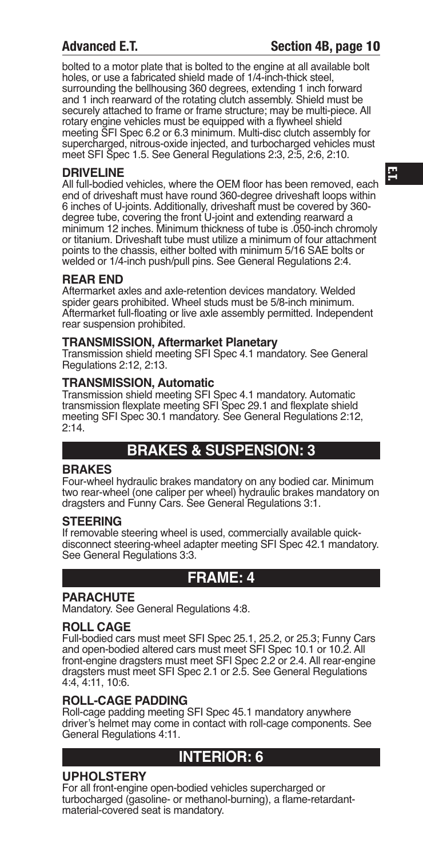## **Advanced E.T. Section 4B, page 10**

bolted to a motor plate that is bolted to the engine at all available bolt holes, or use a fabricated shield made of 1/4-inch-thick steel, surrounding the bellhousing 360 degrees, extending 1 inch forward and 1 inch rearward of the rotating clutch assembly. Shield must be securely attached to frame or frame structure; may be multi-piece. All rotary engine vehicles must be equipped with a flywheel shield meeting SFI Spec 6.2 or 6.3 minimum. Multi-disc clutch assembly for supercharged, nitrous-oxide injected, and turbocharged vehicles must meet SFI Spec 1.5. See General Regulations 2:3, 2:5, 2:6, 2:10.

## **DRIVElINE**

All full-bodied vehicles, where the OEM floor has been removed, each end of driveshaft must have round 360-degree driveshaft loops within 6 inches of U-joints. Additionally, driveshaft must be covered by 360 degree tube, covering the front U-joint and extending rearward a minimum 12 inches. Minimum thickness of tube is .050-inch chromoly or titanium. Driveshaft tube must utilize a minimum of four attachment points to the chassis, either bolted with minimum 5/16 SAE bolts or welded or 1/4-inch push/pull pins. See General Regulations 2:4.

## **REAR END**

Aftermarket axles and axle-retention devices mandatory. Welded spider gears prohibited. Wheel studs must be 5/8-inch minimum. Aftermarket full-floating or live axle assembly permitted. Independent rear suspension prohibited.

## **TRANSmISSION, Aftermarket planetary**

Transmission shield meeting SFI Spec 4.1 mandatory. See General Regulations 2:12, 2:13.

## **TRANSmISSION, Automatic**

Transmission shield meeting SFI Spec 4.1 mandatory. Automatic transmission flexplate meeting SFI Spec 29.1 and flexplate shield meeting SFI Spec 30.1 mandatory. See General Regulations 2:12, 2:14.

## **BRAKES & SuSpENSION: 3**

## **BRAKES**

Four-wheel hydraulic brakes mandatory on any bodied car. Minimum two rear-wheel (one caliper per wheel) hydraulic brakes mandatory on dragsters and Funny Cars. See General Regulations 3:1.

## **STEERING**

If removable steering wheel is used, commercially available quickdisconnect steering-wheel adapter meeting SFI Spec 42.1 mandatory. See General Regulations 3:3.

## **FRAmE: 4**

## **pARAcHuTE**

Mandatory. See General Regulations 4:8.

## **ROll cAGE**

Full-bodied cars must meet SFI Spec 25.1, 25.2, or 25.3; Funny Cars and open-bodied altered cars must meet SFI Spec 10.1 or 10.2. All front-engine dragsters must meet SFI Spec 2.2 or 2.4. All rear-engine dragsters must meet SFI Spec 2.1 or 2.5. See General Regulations 4:4, 4:11, 10:6.

## **ROll-cAGE pADDING**

Roll-cage padding meeting SFI Spec 45.1 mandatory anywhere driver's helmet may come in contact with roll-cage components. See General Regulations 4:11.

## **INTERIOR: 6**

## **upHOlSTERY**

For all front-engine open-bodied vehicles supercharged or turbocharged (gasoline- or methanol-burning), a flame-retardantmaterial-covered seat is mandatory.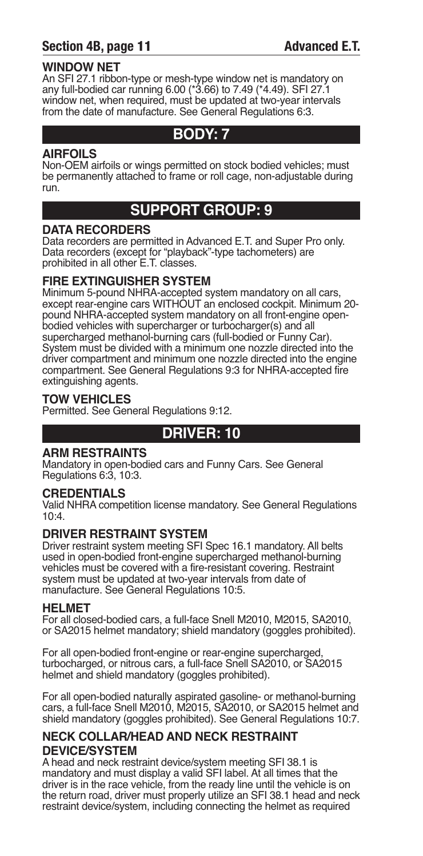## **Section 4B, page 11 Advanced E.T.**

## **WINDOW NET**

An SFI 27.1 ribbon-type or mesh-type window net is mandatory on any full-bodied car running 6.00 (\*3.66) to 7.49 (\*4.49). SFI 27.1 window net, when required, must be updated at two-year intervals from the date of manufacture. See General Regulations 6:3.

## **BODY: 7**

## **AIRFOIlS**

Non-OEM airfoils or wings permitted on stock bodied vehicles; must be permanently attached to frame or roll cage, non-adjustable during run.

## **SuppORT GROup: 9**

## **DATA REcORDERS**

Data recorders are permitted in Advanced E.T. and Super Pro only. Data recorders (except for "playback"-type tachometers) are prohibited in all other E.T. classes.

## **FIRE EXTINGuISHER SYSTEm**

Minimum 5-pound NHRA-accepted system mandatory on all cars, except rear-engine cars WITHOUT an enclosed cockpit. Minimum 20pound NHRA-accepted system mandatory on all front-engine openbodied vehicles with supercharger or turbocharger(s) and all supercharged methanol-burning cars (full-bodied or Funny Car). System must be divided with a minimum one nozzle directed into the driver compartment and minimum one nozzle directed into the engine compartment. See General Regulations 9:3 for NHRA-accepted fire extinguishing agents.

## **TOW VEHIclES**

Permitted. See General Regulations 9:12.

## **DRIVER: 10**

## **ARm RESTRAINTS**

Mandatory in open-bodied cars and Funny Cars. See General Regulations 6:3, 10:3.

## **cREDENTIAlS**

Valid NHRA competition license mandatory. See General Regulations 10:4.

## **DRIVER RESTRAINT SYSTEm**

Driver restraint system meeting SFI Spec 16.1 mandatory. All belts used in open-bodied front-engine supercharged methanol-burning vehicles must be covered with a fire-resistant covering. Restraint system must be updated at two-year intervals from date of manufacture. See General Regulations 10:5.

## **HElmET**

For all closed-bodied cars, a full-face Snell M2010, M2015, SA2010, or SA2015 helmet mandatory; shield mandatory (goggles prohibited).

For all open-bodied front-engine or rear-engine supercharged, turbocharged, or nitrous cars, a full-face Snell SA2010, or SA2015 helmet and shield mandatory (goggles prohibited).

For all open-bodied naturally aspirated gasoline- or methanol-burning cars, a full-face Snell M2010, M2015, SA2010, or SA2015 helmet and shield mandatory (goggles prohibited). See General Regulations 10:7.

## **NEcK cOllAR/HEAD AND NEcK RESTRAINT DEVIcE/SYSTEm**

A head and neck restraint device/system meeting SFI 38.1 is mandatory and must display a valid SFI label. At all times that the driver is in the race vehicle, from the ready line until the vehicle is on the return road, driver must properly utilize an SFI 38.1 head and neck restraint device/system, including connecting the helmet as required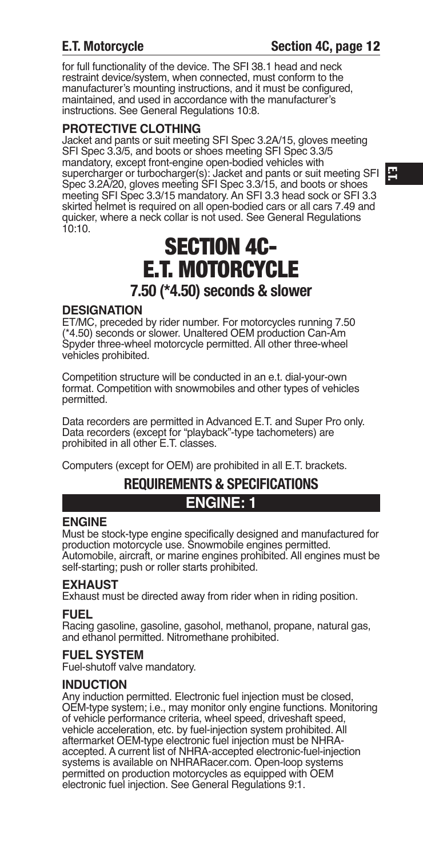## **E.T. Motorcycle Section 4C, page 12**

for full functionality of the device. The SFI 38.1 head and neck restraint device/system, when connected, must conform to the manufacturer's mounting instructions, and it must be configured, maintained, and used in accordance with the manufacturer's instructions. See General Regulations 10:8.

## **pROTEcTIVE clOTHING**

Jacket and pants or suit meeting SFI Spec 3.2A/15, gloves meeting SFI Spec 3.3/5, and boots or shoes meeting SFI Spec 3.3/5 mandatory, except front-engine open-bodied vehicles with supercharger or turbocharger(s): Jacket and pants or suit meeting SFI Spec 3.2A/20, gloves meeting SFI Spec 3.3/15, and boots or shoes meeting SFI Spec 3.3/15 mandatory. An SFI 3.3 head sock or SFI 3.3 skirted helmet is required on all open-bodied cars or all cars 7.49 and quicker, where a neck collar is not used. See General Regulations 10:10.

# **SECTION 4C- E.T. MOTORCYCLE 7.50 (\*4.50) seconds & slower**

## **DESIGNATION**

ET/MC, preceded by rider number. For motorcycles running 7.50 (\*4.50) seconds or slower. Unaltered OEM production Can-Am Spyder three-wheel motorcycle permitted. All other three-wheel vehicles prohibited.

Competition structure will be conducted in an e.t. dial-your-own format. Competition with snowmobiles and other types of vehicles permitted.

Data recorders are permitted in Advanced E.T. and Super Pro only. Data recorders (except for "playback"-type tachometers) are prohibited in all other E.T. classes.

Computers (except for OEM) are prohibited in all E.T. brackets.

# **REQUIREMENTS & SPECIFICATIONS**

## **ENGINE: 1**

## **ENGINE**

Must be stock-type engine specifically designed and manufactured for production motorcycle use. Snowmobile engines permitted. Automobile, aircraft, or marine engines prohibited. All engines must be self-starting; push or roller starts prohibited.

## **EXHAuST**

Exhaust must be directed away from rider when in riding position.

**FuEl** Racing gasoline, gasoline, gasohol, methanol, propane, natural gas, and ethanol permitted. Nitromethane prohibited.

## **FuEl SYSTEm**

Fuel-shutoff valve mandatory.

## **INDucTION**

Any induction permitted. Electronic fuel injection must be closed, OEM-type system; i.e., may monitor only engine functions. Monitoring of vehicle performance criteria, wheel speed, driveshaft speed, vehicle acceleration, etc. by fuel-injection system prohibited. All aftermarket OEM-type electronic fuel injection must be NHRAaccepted. A current list of NHRA-accepted electronic-fuel-injection systems is available on NHRARacer.com. Open-loop systems permitted on production motorcycles as equipped with OEM electronic fuel injection. See General Regulations 9:1.

**E.T.**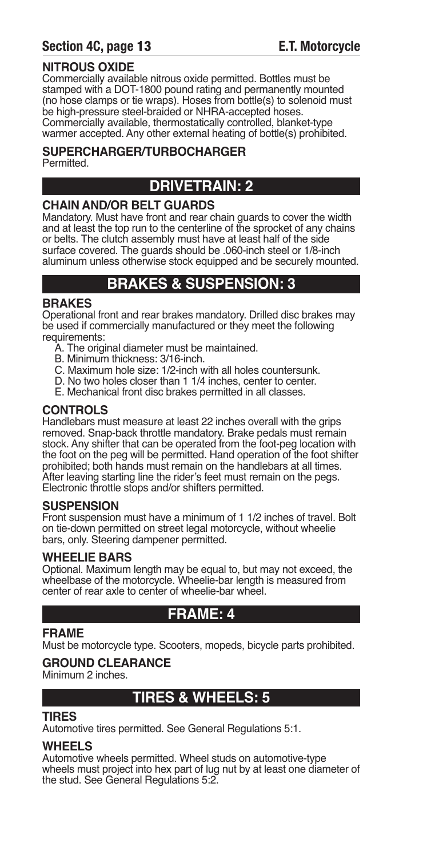## **Section 4C, page 13 E.T. Motorcycle**

## **NITROuS OXIDE**

Commercially available nitrous oxide permitted. Bottles must be stamped with a DOT-1800 pound rating and permanently mounted (no hose clamps or tie wraps). Hoses from bottle(s) to solenoid must be high-pressure steel-braided or NHRA-accepted hoses. Commercially available, thermostatically controlled, blanket-type warmer accepted. Any other external heating of bottle(s) prohibited.

## **SupERcHARGER/TuRBOcHARGER**

Permitted.

## **DRIVETRAIN: 2**

## **cHAIN AND/OR BElT GuARDS**

Mandatory. Must have front and rear chain guards to cover the width and at least the top run to the centerline of the sprocket of any chains or belts. The clutch assembly must have at least half of the side surface covered. The guards should be .060-inch steel or 1/8-inch aluminum unless otherwise stock equipped and be securely mounted.

## **BRAKES & SuSpENSION: 3**

## **BRAKES**

Operational front and rear brakes mandatory. Drilled disc brakes may be used if commercially manufactured or they meet the following requirements:

- A. The original diameter must be maintained.
- B. Minimum thickness: 3/16-inch.
- C. Maximum hole size: 1/2-inch with all holes countersunk.
- D. No two holes closer than 1 1/4 inches, center to center.
- E. Mechanical front disc brakes permitted in all classes.

## **cONTROlS**

Handlebars must measure at least 22 inches overall with the grips removed. Snap-back throttle mandatory. Brake pedals must remain stock. Any shifter that can be operated from the foot-peg location with the foot on the peg will be permitted. Hand operation of the foot shifter prohibited; both hands must remain on the handlebars at all times. After leaving starting line the rider's feet must remain on the pegs. Electronic throttle stops and/or shifters permitted.

## **SuSpENSION**

Front suspension must have a minimum of 1 1/2 inches of travel. Bolt on tie-down permitted on street legal motorcycle, without wheelie bars, only. Steering dampener permitted.

## **WHEElIE BARS**

Optional. Maximum length may be equal to, but may not exceed, the wheelbase of the motorcycle. Wheelie-bar length is measured from center of rear axle to center of wheelie-bar wheel.

## **FRAmE: 4**

## **FRAmE**

Must be motorcycle type. Scooters, mopeds, bicycle parts prohibited.

## **GROuND clEARANcE**

Minimum 2 inches.

## **TIRES & WHEElS: 5**

## **TIRES**

Automotive tires permitted. See General Regulations 5:1.

## **WHEElS**

Automotive wheels permitted. Wheel studs on automotive-type wheels must project into hex part of lug nut by at least one diameter of the stud. See General Regulations 5:2.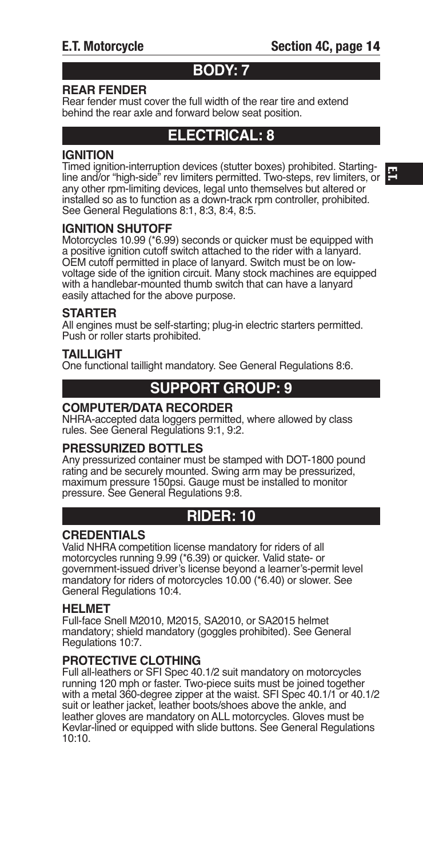## **BODY: 7**

## **REAR FENDER**

Rear fender must cover the full width of the rear tire and extend behind the rear axle and forward below seat position.

## **ElEcTRIcAl: 8**

## **IGNITION**

Timed ignition-interruption devices (stutter boxes) prohibited. Startingline and/or "high-side" rev limiters permitted. Two-steps, rev limiters, or any other rpm-limiting devices, legal unto themselves but altered or installed so as to function as a down-track rpm controller, prohibited. See General Regulations 8:1, 8:3, 8:4, 8:5.

## **IGNITION SHuTOFF**

Motorcycles 10.99 (\*6.99) seconds or quicker must be equipped with a positive ignition cutoff switch attached to the rider with a lanyard. OEM cutoff permitted in place of lanyard. Switch must be on lowvoltage side of the ignition circuit. Many stock machines are equipped with a handlebar-mounted thumb switch that can have a lanyard easily attached for the above purpose.

#### **STARTER**

All engines must be self-starting; plug-in electric starters permitted. Push or roller starts prohibited.

#### **TAIllIGHT**

One functional taillight mandatory. See General Regulations 8:6.

## **SuppORT GROup: 9**

#### **cOmpuTER/DATA REcORDER**

NHRA-accepted data loggers permitted, where allowed by class rules. See General Regulations 9:1, 9:2.

## **pRESSuRIZED BOTTlES**

Any pressurized container must be stamped with DOT-1800 pound rating and be securely mounted. Swing arm may be pressurized, maximum pressure 150psi. Gauge must be installed to monitor pressure. See General Regulations 9:8.

## **RIDER: 10**

## **cREDENTIAlS**

Valid NHRA competition license mandatory for riders of all motorcycles running 9.99 (\*6.39) or quicker. Valid state- or government-issued driver's license beyond a learner's-permit level mandatory for riders of motorcycles 10.00 (\*6.40) or slower. See General Regulations 10:4.

#### **HElmET**

Full-face Snell M2010, M2015, SA2010, or SA2015 helmet mandatory; shield mandatory (goggles prohibited). See General Regulations 10:7.

## **pROTEcTIVE clOTHING**

Full all-leathers or SFI Spec 40.1/2 suit mandatory on motorcycles running 120 mph or faster. Two-piece suits must be joined together with a metal 360-degree zipper at the waist. SFI Spec 40.1/1 or 40.1/2 suit or leather jacket, leather boots/shoes above the ankle, and leather gloves are mandatory on ALL motorcycles. Gloves must be Kevlar-lined or equipped with slide buttons. See General Regulations 10:10.

**E.T.**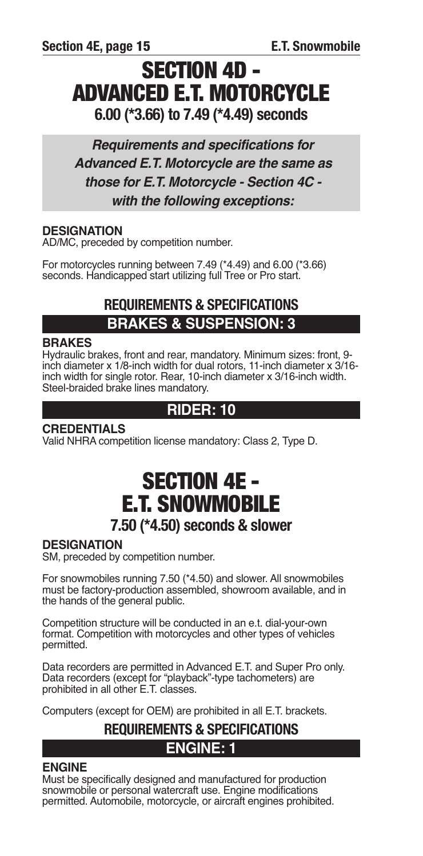# **SECTION 4D - ADVANCED E.T. MOTORCYCLE 6.00 (\*3.66) to 7.49 (\*4.49) seconds**

*Requirements and specifications for Advanced E.T. Motorcycle are the same as those for E.T. Motorcycle - Section 4C with the following exceptions:*

## **DESIGNATION**

AD/MC, preceded by competition number.

For motorcycles running between 7.49 (\*4.49) and 6.00 (\*3.66) seconds. Handicapped start utilizing full Tree or Pro start.

## **REQUIREMENTS & SPECIFICATIONS BRAKES & SuSpENSION: 3**

## **BRAKES**

Hydraulic brakes, front and rear, mandatory. Minimum sizes: front, 9 inch diameter x 1/8-inch width for dual rotors, 11-inch diameter x 3/16 inch width for single rotor. Rear, 10-inch diameter x 3/16-inch width. Steel-braided brake lines mandatory.

## **RIDER: 10**

## **cREDENTIAlS**

Valid NHRA competition license mandatory: Class 2, Type D.

# **SECTION 4E - E.T. SNOWMOBILE 7.50 (\*4.50) seconds & slower**

## **DESIGNATION**

SM, preceded by competition number.

For snowmobiles running 7.50 (\*4.50) and slower. All snowmobiles must be factory-production assembled, showroom available, and in the hands of the general public.

Competition structure will be conducted in an e.t. dial-your-own format. Competition with motorcycles and other types of vehicles permitted.

Data recorders are permitted in Advanced E.T. and Super Pro only. Data recorders (except for "playback"-type tachometers) are prohibited in all other E.T. classes.

Computers (except for OEM) are prohibited in all E.T. brackets.

## **REQUIREMENTS & SPECIFICATIONS ENGINE: 1**

## **ENGINE**

Must be specifically designed and manufactured for production snowmobile or personal watercraft use. Engine modifications permitted. Automobile, motorcycle, or aircraft engines prohibited.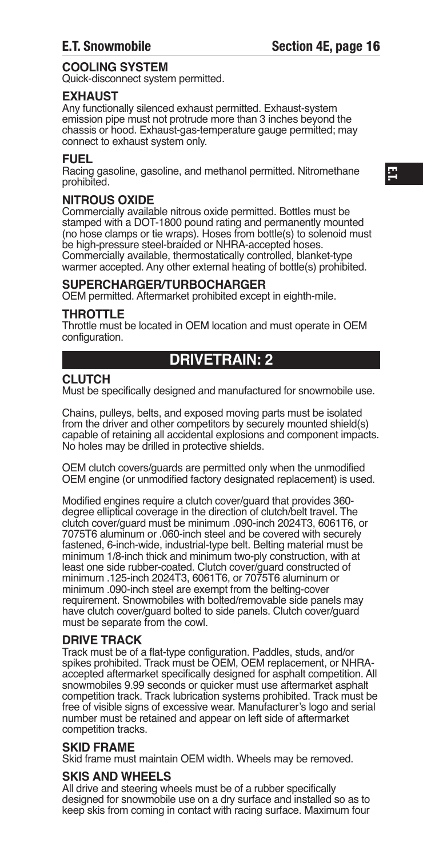## **cOOlING SYSTEm**

Quick-disconnect system permitted.

## **EXHAuST**

Any functionally silenced exhaust permitted. Exhaust-system emission pipe must not protrude more than 3 inches beyond the chassis or hood. Exhaust-gas-temperature gauge permitted; may connect to exhaust system only.

## **FuEl**

Racing gasoline, gasoline, and methanol permitted. Nitromethane prohibited.

## **NITROuS OXIDE**

Commercially available nitrous oxide permitted. Bottles must be stamped with a DOT-1800 pound rating and permanently mounted (no hose clamps or tie wraps). Hoses from bottle(s) to solenoid must be high-pressure steel-braided or NHRA-accepted hoses. Commercially available, thermostatically controlled, blanket-type warmer accepted. Any other external heating of bottle(s) prohibited.

#### **SupERcHARGER/TuRBOcHARGER**

OEM permitted. Aftermarket prohibited except in eighth-mile.

#### **THROTTlE**

Throttle must be located in OEM location and must operate in OEM configuration.

## **DRIVETRAIN: 2**

## **cluTcH**

Must be specifically designed and manufactured for snowmobile use.

Chains, pulleys, belts, and exposed moving parts must be isolated from the driver and other competitors by securely mounted shield(s) capable of retaining all accidental explosions and component impacts. No holes may be drilled in protective shields.

OEM clutch covers/guards are permitted only when the unmodified OEM engine (or unmodified factory designated replacement) is used.

Modified engines require a clutch cover/guard that provides 360 degree elliptical coverage in the direction of clutch/belt travel. The clutch cover/guard must be minimum .090-inch 2024T3, 6061T6, or 7075T6 aluminum or .060-inch steel and be covered with securely fastened, 6-inch-wide, industrial-type belt. Belting material must be minimum 1/8-inch thick and minimum two-ply construction, with at least one side rubber-coated. Clutch cover/guard constructed of minimum .125-inch 2024T3, 6061T6, or 7075T6 aluminum or minimum .090-inch steel are exempt from the belting-cover requirement. Snowmobiles with bolted/removable side panels may have clutch cover/guard bolted to side panels. Clutch cover/guard must be separate from the cowl.

## **DRIVE TRAcK**

Track must be of a flat-type configuration. Paddles, studs, and/or spikes prohibited. Track must be OEM, OEM replacement, or NHRAaccepted aftermarket specifically designed for asphalt competition. All snowmobiles 9.99 seconds or quicker must use aftermarket asphalt competition track. Track lubrication systems prohibited. Track must be free of visible signs of excessive wear. Manufacturer's logo and serial number must be retained and appear on left side of aftermarket competition tracks.

#### **SKID FRAmE**

Skid frame must maintain OEM width. Wheels may be removed.

#### **SKIS AND WHEElS**

All drive and steering wheels must be of a rubber specifically designed for snowmobile use on a dry surface and installed so as to keep skis from coming in contact with racing surface. Maximum four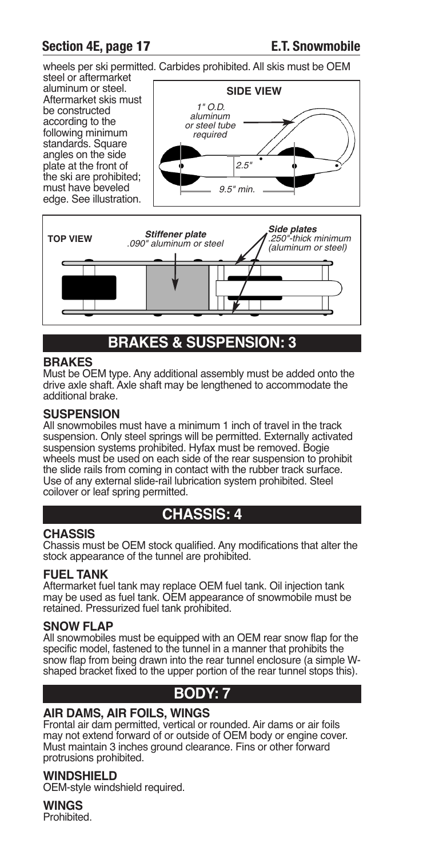## **Section 4E, page 17 E.T. Snowmobile**

wheels per ski permitted. Carbides prohibited. All skis must be OEM

steel or aftermarket aluminum or steel. Aftermarket skis must be constructed according to the following minimum standards. Square angles on the side plate at the front of the ski are prohibited; must have beveled edge. See illustration.





## **BRAKES & SuSpENSION: 3**

## **BRAKES**

Must be OEM type. Any additional assembly must be added onto the drive axle shaft. Axle shaft may be lengthened to accommodate the additional brake.

#### **SuSpENSION**

All snowmobiles must have a minimum 1 inch of travel in the track suspension. Only steel springs will be permitted. Externally activated suspension systems prohibited. Hyfax must be removed. Bogie wheels must be used on each side of the rear suspension to prohibit the slide rails from coming in contact with the rubber track surface. Use of any external slide-rail lubrication system prohibited. Steel coilover or leaf spring permitted.

## **cHASSIS: 4**

## **cHASSIS**

Chassis must be OEM stock qualified. Any modifications that alter the stock appearance of the tunnel are prohibited.

## **FuEl TANK**

Aftermarket fuel tank may replace OEM fuel tank. Oil injection tank may be used as fuel tank. OEM appearance of snowmobile must be retained. Pressurized fuel tank prohibited.

## **SNOW FlAp**

All snowmobiles must be equipped with an OEM rear snow flap for the specific model, fastened to the tunnel in a manner that prohibits the snow flap from being drawn into the rear tunnel enclosure (a simple Wshaped bracket fixed to the upper portion of the rear tunnel stops this).

## **BODY: 7**

## **AIR DAmS, AIR FOIlS, WINGS**

Frontal air dam permitted, vertical or rounded. Air dams or air foils may not extend forward of or outside of OEM body or engine cover. Must maintain 3 inches ground clearance. Fins or other forward protrusions prohibited.

## **WINDSHIElD**

OEM-style windshield required.

**WINGS**

Prohibited.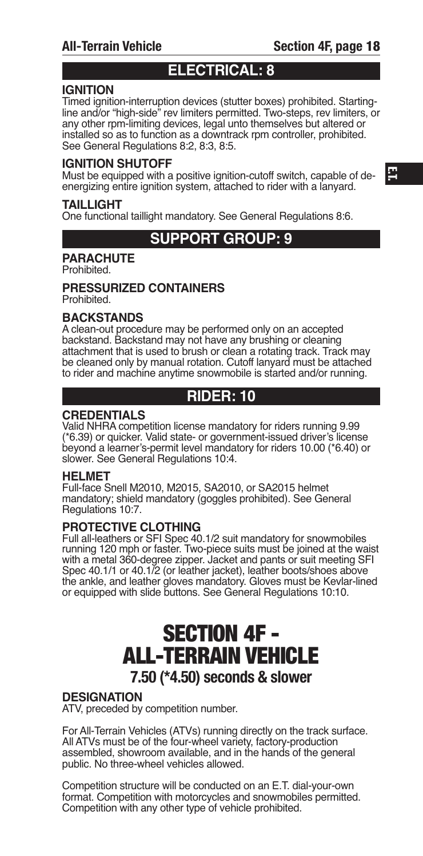## **ElEcTRIcAl: 8**

## **IGNITION**

Timed ignition-interruption devices (stutter boxes) prohibited. Startingline and/or "high-side" rev limiters permitted. Two-steps, rev limiters, or any other rpm-limiting devices, legal unto themselves but altered or installed so as to function as a downtrack rpm controller, prohibited. See General Regulations 8:2, 8:3, 8:5.

#### **IGNITION SHuTOFF**

Must be equipped with a positive ignition-cutoff switch, capable of deenergizing entire ignition system, attached to rider with a lanyard.

#### **TAILLIGHT**

One functional taillight mandatory. See General Regulations 8:6.

## **SuppORT GROup: 9**

## **pARAcHuTE**

Prohibited.

#### **pRESSuRIZED cONTAINERS** Prohibited.

#### **BAcKSTANDS**

A clean-out procedure may be performed only on an accepted backstand. Backstand may not have any brushing or cleaning attachment that is used to brush or clean a rotating track. Track may be cleaned only by manual rotation. Cutoff lanyard must be attached to rider and machine anytime snowmobile is started and/or running.

## **RIDER: 10**

#### **cREDENTIAlS**

Valid NHRA competition license mandatory for riders running 9.99 (\*6.39) or quicker. Valid state- or government-issued driver's license beyond a learner's-permit level mandatory for riders 10.00 (\*6.40) or slower. See General Regulations 10:4.

#### **HElmET**

Full-face Snell M2010, M2015, SA2010, or SA2015 helmet mandatory; shield mandatory (goggles prohibited). See General Regulations 10:7.

## **pROTEcTIVE clOTHING**

Full all-leathers or SFI Spec 40.1/2 suit mandatory for snowmobiles running 120 mph or faster. Two-piece suits must be joined at the waist with a metal 360-degree zipper. Jacket and pants or suit meeting SFI Spec 40.1/1 or 40.1/2 (or leather jacket), leather boots/shoes above<br>the ankle, and leather gloves mandatory. Gloves must be Kevlar-lined<br>or equipped with slide buttons. See General Regulations 10:10.

# **SECTION 4F - ALL-TERRAIN VEHICLE 7.50 (\*4.50) seconds & slower**

## **DESIGNATION**

ATV, preceded by competition number.

For All-Terrain Vehicles (ATVs) running directly on the track surface. All ATVs must be of the four-wheel variety, factory-production assembled, showroom available, and in the hands of the general public. No three-wheel vehicles allowed.

Competition structure will be conducted on an E.T. dial-your-own format. Competition with motorcycles and snowmobiles permitted. Competition with any other type of vehicle prohibited.

**E.T.**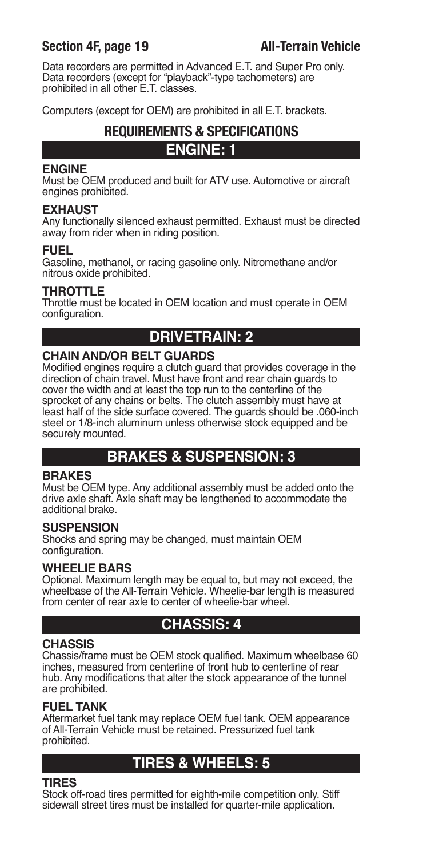## **Section 4F, page 19 All-Terrain Vehicle**

Data recorders are permitted in Advanced E.T. and Super Pro only. Data recorders (except for "playback"-type tachometers) are prohibited in all other E.T. classes.

Computers (except for OEM) are prohibited in all E.T. brackets.

# **REQUIREMENTS & SPECIFICATIONS**

## **ENGINE: 1**

## **ENGINE**

Must be OEM produced and built for ATV use. Automotive or aircraft engines prohibited.

## **EXHAUST**

Any functionally silenced exhaust permitted. Exhaust must be directed away from rider when in riding position.

## **FuEl**

Gasoline, methanol, or racing gasoline only. Nitromethane and/or nitrous oxide prohibited.

## **THROTTlE**

Throttle must be located in OEM location and must operate in OEM configuration.

## **DRIVETRAIN: 2**

## **cHAIN AND/OR BElT GuARDS**

Modified engines require a clutch guard that provides coverage in the direction of chain travel. Must have front and rear chain guards to cover the width and at least the top run to the centerline of the sprocket of any chains or belts. The clutch assembly must have at least half of the side surface covered. The guards should be .060-inch steel or 1/8-inch aluminum unless otherwise stock equipped and be securely mounted.

## **BRAKES & SuSpENSION: 3**

## **BRAKES**

Must be OEM type. Any additional assembly must be added onto the drive axle shaft. Axle shaft may be lengthened to accommodate the additional brake.

## **SuSpENSION**

Shocks and spring may be changed, must maintain OEM configuration.

## **WHEElIE BARS**

Optional. Maximum length may be equal to, but may not exceed, the wheelbase of the All-Terrain Vehicle. Wheelie-bar length is measured from center of rear axle to center of wheelie-bar wheel.

## **cHASSIS: 4**

## **cHASSIS**

Chassis/frame must be OEM stock qualified. Maximum wheelbase 60 inches, measured from centerline of front hub to centerline of rear hub. Any modifications that alter the stock appearance of the tunnel are prohibited.

## **FuEl TANK**

Aftermarket fuel tank may replace OEM fuel tank. OEM appearance of All-Terrain Vehicle must be retained. Pressurized fuel tank prohibited.

## **TIRES & WHEElS: 5**

## **TIRES**

Stock off-road tires permitted for eighth-mile competition only. Stiff sidewall street tires must be installed for quarter-mile application.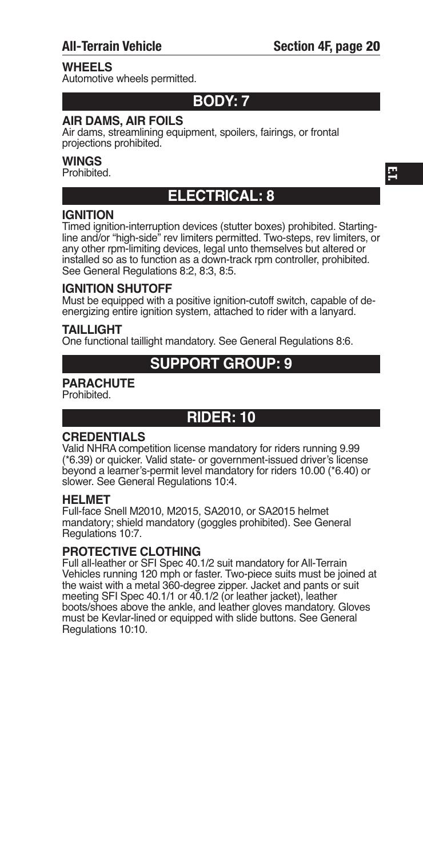## **WHEElS**

Automotive wheels permitted.

## **BODY: 7**

## **AIR DAmS, AIR FOIlS**

Air dams, streamlining equipment, spoilers, fairings, or frontal projections prohibited.

#### **WINGS**

Prohibited.

## **ElEcTRIcAl: 8**

## **IGNITION**

Timed ignition-interruption devices (stutter boxes) prohibited. Startingline and/or "high-side" rev limiters permitted. Two-steps, rev limiters, or any other rpm-limiting devices, legal unto themselves but altered or installed so as to function as a down-track rpm controller, prohibited. See General Regulations 8:2, 8:3, 8:5.

#### **IGNITION SHuTOFF**

Must be equipped with a positive ignition-cutoff switch, capable of deenergizing entire ignition system, attached to rider with a lanyard.

#### **TAILLIGHT**

One functional taillight mandatory. See General Regulations 8:6.

## **SuppORT GROup: 9**

## **pARAcHuTE**

Prohibited.

## **RIDER: 10**

## **cREDENTIAlS**

Valid NHRA competition license mandatory for riders running 9.99 (\*6.39) or quicker. Valid state- or government-issued driver's license beyond a learner's-permit level mandatory for riders 10.00 (\*6.40) or slower. See General Regulations 10:4.

#### **HElmET**

Full-face Snell M2010, M2015, SA2010, or SA2015 helmet mandatory; shield mandatory (goggles prohibited). See General Regulations 10:7.

## **pROTEcTIVE clOTHING**

Full all-leather or SFI Spec 40.1/2 suit mandatory for All-Terrain Vehicles running 120 mph or faster. Two-piece suits must be joined at the waist with a metal 360-degree zipper. Jacket and pants or suit meeting SFI Spec 40.1/1 or 40.1/2 (or leather jacket), leather boots/shoes above the ankle, and leather gloves mandatory. Gloves must be Kevlar-lined or equipped with slide buttons. See General Regulations 10:10.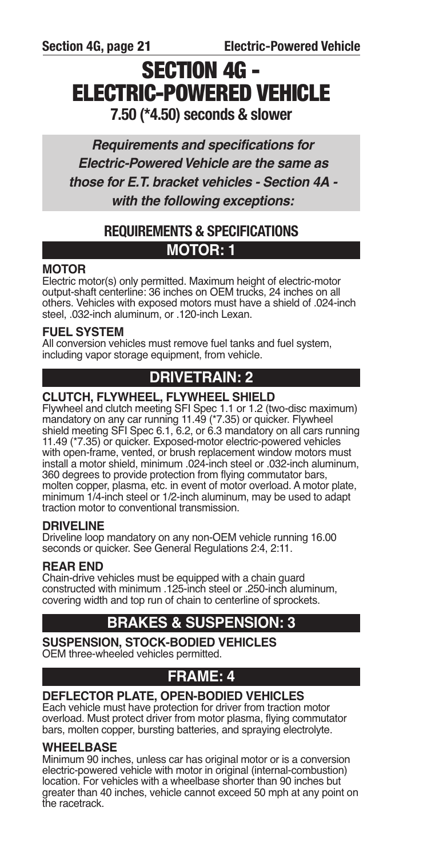# **SECTION 4G - ELECTRIC-POWERED VEHICLE 7.50 (\*4.50) seconds & slower**

*Requirements and specifications for Electric-PoweredVehicle are the same as those for E.T. bracket vehicles - Section 4A with the following exceptions:*

## **REQUIREMENTS & SPECIFICATIONS mOTOR: 1**

## **mOTOR**

Electric motor(s) only permitted. Maximum height of electric-motor output-shaft centerline: 36 inches on OEM trucks, 24 inches on all others. Vehicles with exposed motors must have a shield of .024-inch steel, .032-inch aluminum, or .120-inch Lexan.

## **FuEl SYSTEm**

All conversion vehicles must remove fuel tanks and fuel system, including vapor storage equipment, from vehicle.

## **DRIVETRAIN: 2**

## **cluTcH, FlYWHEEl, FlYWHEEl SHIElD**

Flywheel and clutch meeting SFI Spec 1.1 or 1.2 (two-disc maximum) mandatory on any car running 11.49 (\*7.35) or quicker. Flywheel shield meeting SFI Spec 6.1, 6.2, or 6.3 mandatory on all cars running 11.49 (\*7.35) or quicker. Exposed-motor electric-powered vehicles with open-frame, vented, or brush replacement window motors must install a motor shield, minimum .024-inch steel or .032-inch aluminum, 360 degrees to provide protection from flying commutator bars, molten copper, plasma, etc. in event of motor overload. A motor plate, minimum 1/4-inch steel or 1/2-inch aluminum, may be used to adapt traction motor to conventional transmission.

## **DRIVElINE**

Driveline loop mandatory on any non-OEM vehicle running 16.00 seconds or quicker. See General Regulations 2:4, 2:11.

## **REAR END**

Chain-drive vehicles must be equipped with a chain guard constructed with minimum .125-inch steel or .250-inch aluminum, covering width and top run of chain to centerline of sprockets.

## **BRAKES & SuSpENSION: 3**

**SuSpENSION, STOcK-BODIED VEHIclES** OEM three-wheeled vehicles permitted.

## **FRAmE: 4**

## **DEFlEcTOR plATE, OpEN-BODIED VEHIclES**

Each vehicle must have protection for driver from traction motor overload. Must protect driver from motor plasma, flying commutator bars, molten copper, bursting batteries, and spraying electrolyte.

## **WHEElBASE**

Minimum 90 inches, unless car has original motor or is a conversion electric-powered vehicle with motor in original (internal-combustion) location. For vehicles with a wheelbase shorter than 90 inches but greater than 40 inches, vehicle cannot exceed 50 mph at any point on the racetrack.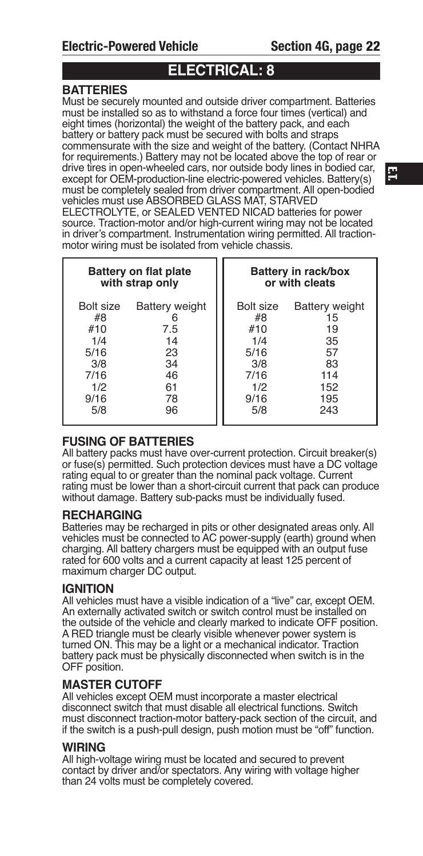## **ElEcTRIcAl: 8**

## **BATTERIES**

Must be securely mounted and outside driver compartment. Batteries must be installed so as to withstand a force four times (vertical) and eight times (horizontal) the weight of the battery pack, and each battery or battery pack must be secured with bolts and straps commensurate with the size and weight of the battery. (Contact NHRA for requirements.) Battery may not be located above the top of rear or drive tires in open-wheeled cars, nor outside body lines in bodied car, except for OEM-production-line electric-powered vehicles. Battery(s) must be completely sealed from driver compartment. All open-bodied vehicles must use ABSORBED GLASS MAT, STARVED ELECTROLYTE, or SEALED VENTED NICAD batteries for power source. Traction-motor and/or high-current wiring may not be located in driver's compartment. Instrumentation wiring permitted. All tractionmotor wiring must be isolated from vehicle chassis.

| <b>Battery on flat plate</b><br>with strap only                            |                                                                        | Battery in rack/box<br>or with cleats                                      |                                                                                 |
|----------------------------------------------------------------------------|------------------------------------------------------------------------|----------------------------------------------------------------------------|---------------------------------------------------------------------------------|
| Bolt size<br>#8<br>#10<br>1/4<br>5/16<br>3/8<br>7/16<br>1/2<br>9/16<br>5/8 | <b>Battery weight</b><br>7.5<br>14<br>23<br>34<br>46<br>61<br>78<br>96 | Bolt size<br>#8<br>#10<br>1/4<br>5/16<br>3/8<br>7/16<br>1/2<br>9/16<br>5/8 | <b>Battery weight</b><br>15<br>19<br>35<br>57<br>83<br>114<br>152<br>195<br>243 |

## **FuSING OF BATTERIES**

All battery packs must have over-current protection. Circuit breaker(s) or fuse(s) permitted. Such protection devices must have a DC voltage rating equal to or greater than the nominal pack voltage. Current rating must be lower than a short-circuit current that pack can produce without damage. Battery sub-packs must be individually fused.

## **REcHARGING**

Batteries may be recharged in pits or other designated areas only. All vehicles must be connected to AC power-supply (earth) ground when charging. All battery chargers must be equipped with an output fuse rated for 600 volts and a current capacity at least 125 percent of maximum charger DC output.

## **IGNITION**

All vehicles must have a visible indication of a "live" car, except OEM. An externally activated switch or switch control must be installed on the outside of the vehicle and clearly marked to indicate OFF position. A RED triangle must be clearly visible whenever power system is turned ON. This may be a light or a mechanical indicator. Traction battery pack must be physically disconnected when switch is in the OFF position.

## **mASTER cuTOFF**

All vehicles except OEM must incorporate a master electrical disconnect switch that must disable all electrical functions. Switch must disconnect traction-motor battery-pack section of the circuit, and if the switch is a push-pull design, push motion must be "off" function.

## **WIRING**

All high-voltage wiring must be located and secured to prevent contact by driver and/or spectators. Any wiring with voltage higher than 24 volts must be completely covered.